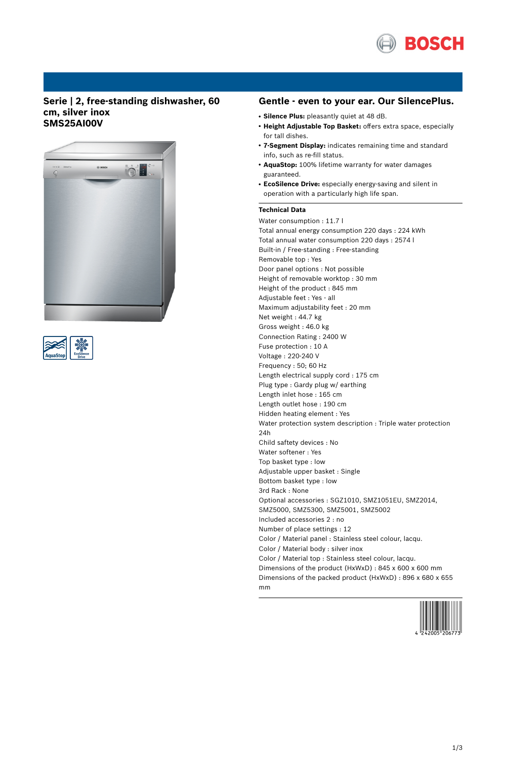

## **Serie | 2, free-standing dishwasher, 60 cm, silver inox SMS25AI00V**





## **Gentle - even to your ear. Our SilencePlus.**

- **Silence Plus:** pleasantly quiet at 48 dB.
- **Height Adjustable Top Basket:** offers extra space, especially for tall dishes.
- **7-Segment Display:** indicates remaining time and standard info, such as re-fill status.
- **AquaStop:** 100% lifetime warranty for water damages guaranteed.
- **EcoSilence Drive:** especially energy-saving and silent in operation with a particularly high life span.

#### **Technical Data**

Water consumption : 11.7 l Total annual energy consumption 220 days : 224 kWh Total annual water consumption 220 days : 2574 l Built-in / Free-standing : Free-standing Removable top : Yes Door panel options : Not possible Height of removable worktop : 30 mm Height of the product : 845 mm Adjustable feet : Yes - all Maximum adjustability feet : 20 mm Net weight : 44.7 kg Gross weight : 46.0 kg Connection Rating : 2400 W Fuse protection : 10 A Voltage : 220-240 V Frequency : 50; 60 Hz Length electrical supply cord : 175 cm Plug type : Gardy plug w/ earthing Length inlet hose : 165 cm Length outlet hose : 190 cm Hidden heating element : Yes Water protection system description : Triple water protection 24h Child saftety devices : No Water softener : Yes Top basket type : low Adjustable upper basket : Single Bottom basket type : low 3rd Rack : None Optional accessories : SGZ1010, SMZ1051EU, SMZ2014, SMZ5000, SMZ5300, SMZ5001, SMZ5002 Included accessories 2 : no Number of place settings : 12 Color / Material panel : Stainless steel colour, lacqu. Color / Material body : silver inox Color / Material top : Stainless steel colour, lacqu. Dimensions of the product (HxWxD) : 845 x 600 x 600 mm Dimensions of the packed product (HxWxD) : 896 x 680 x 655 mm

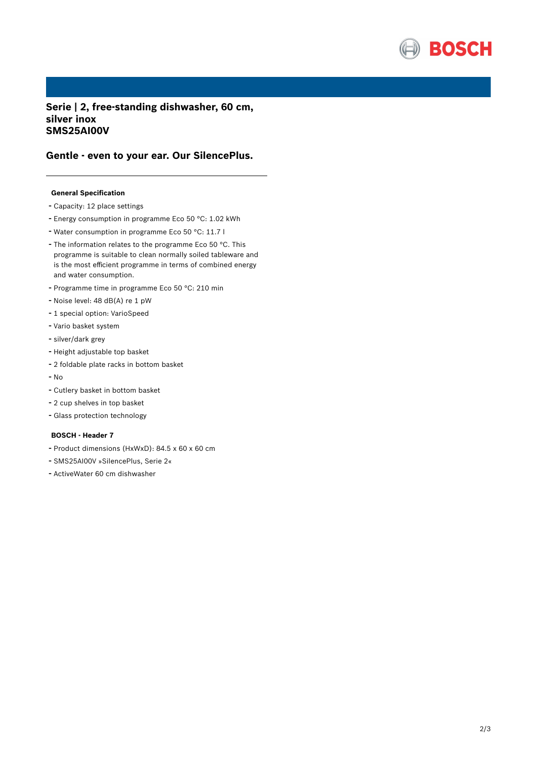

**Serie | 2, free-standing dishwasher, 60 cm, silver inox SMS25AI00V**

# **Gentle - even to your ear. Our SilencePlus.**

## **General Specification**

- Capacity: <sup>12</sup> place settings
- Energy consumption in programme Eco <sup>50</sup> °C: 1.02 kWh
- Water consumption in programme Eco <sup>50</sup> °C: 11.7 <sup>l</sup>
- The information relates to the programme Eco <sup>50</sup> °C. This programme is suitable to clean normally soiled tableware and is the most efficient programme in terms of combined energy and water consumption.
- Programme time in programme Eco <sup>50</sup> °C: <sup>210</sup> min
- Noise level: <sup>48</sup> dB(A) re <sup>1</sup> pW
- <sup>1</sup> special option: VarioSpeed
- Vario basket system
- silver/dark grey
- Height adjustable top basket
- <sup>2</sup> foldable plate racks in bottom basket
- No
- Cutlery basket in bottom basket
- <sup>2</sup> cup shelves in top basket
- Glass protection technology

#### **BOSCH - Header 7**

- Product dimensions (HxWxD): 84.5 <sup>x</sup> <sup>60</sup> <sup>x</sup> <sup>60</sup> cm
- SMS25AI00V »SilencePlus, Serie 2«
- ActiveWater <sup>60</sup> cm dishwasher